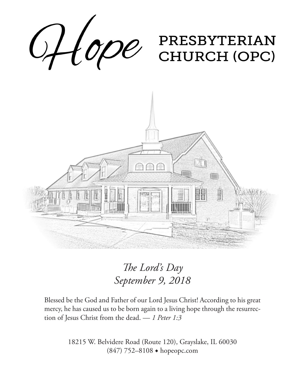

*The Lord's Day September 9, 2018*

Blessed be the God and Father of our Lord Jesus Christ! According to his great mercy, he has caused us to be born again to a living hope through the resurrection of Jesus Christ from the dead. — *1 Peter 1:3*

> 18215 W. Belvidere Road (Route 120), Grayslake, IL 60030 (847) 752–8108 ◆ hopeopc.com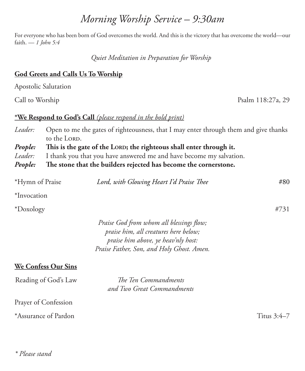#### *\* Please stand*

## *Morning Worship Service – 9:30am*

For everyone who has been born of God overcomes the world. And this is the victory that has overcome the world—our faith. — *1 John 5:4*

*Quiet Meditation in Preparation for Worship*

### **God Greets and Calls Us To Worship**

Apostolic Salutation

## **\*We Respond to God's Call** *(please respond in the bold print)*

| People: | The stone that the builders rejected has become the cornerstone.                             |
|---------|----------------------------------------------------------------------------------------------|
| Leader: | I thank you that you have answered me and have become my salvation.                          |
| People: | This is the gate of the LORD; the righteous shall enter through it.                          |
|         | to the LORD.                                                                                 |
|         | Leader: Open to me the gates of righteousness, that I may enter through them and give thanks |

| *Hymn of Praise | Lord, with Glowing Heart I'd Praise Thee | #80 |
|-----------------|------------------------------------------|-----|
|                 |                                          |     |

\*Invocation

\*Doxology #731

*Praise God from whom all blessings flow; praise him, all creatures here below; praise him above, ye heav'nly host: Praise Father, Son, and Holy Ghost. Amen.*

### **We Confess Our Sins**

Reading of God's Law *The Ten Commandments and Two Great Commandments*

Prayer of Confession

\*Assurance of Pardon Titus 3:4–7

Call to Worship Psalm 118:27a, 29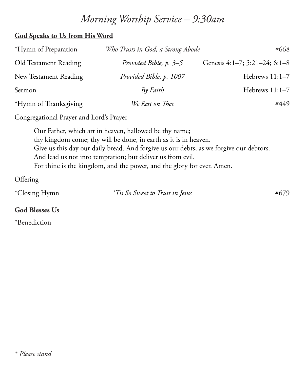## *Morning Worship Service – 9:30am*

#### **God Speaks to Us from His Word**

| *Hymn of Preparation  | Who Trusts in God, a Strong Abode | #668                          |
|-----------------------|-----------------------------------|-------------------------------|
| Old Testament Reading | Provided Bible, p. 3–5            | Genesis 4:1-7; 5:21-24; 6:1-8 |
| New Testament Reading | Provided Bible, p. 1007           | Hebrews 11:1-7                |
| Sermon                | $Bv$ Faith                        | Hebrews $11:1-7$              |
| *Hymn of Thanksgiving | We Rest on Thee                   | #449                          |

Congregational Prayer and Lord's Prayer

Our Father, which art in heaven, hallowed be thy name; thy kingdom come; thy will be done, in earth as it is in heaven. Give us this day our daily bread. And forgive us our debts, as we forgive our debtors. And lead us not into temptation; but deliver us from evil. For thine is the kingdom, and the power, and the glory for ever. Amen.

**Offering** 

| *Closing Hymn | 'Tis So Sweet to Trust in Jesus | #679 |
|---------------|---------------------------------|------|
|---------------|---------------------------------|------|

#### **God Blesses Us**

\*Benediction